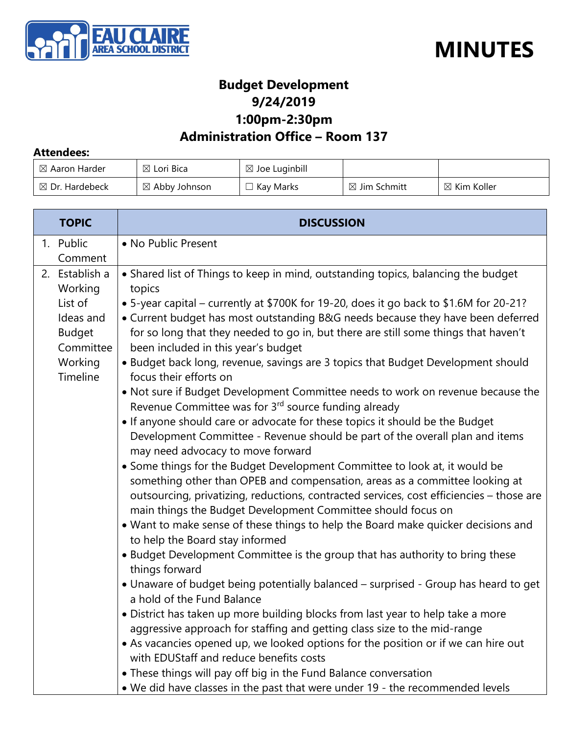



### **Budget Development 9/24/2019 1:00pm-2:30pm**

### **Administration Office – Room 137**

#### **Attendees:**

| $\boxtimes$ Aaron Harder  | $\boxtimes$ Lori Bica    | $\boxtimes$ Joe Luginbill |                         |                        |
|---------------------------|--------------------------|---------------------------|-------------------------|------------------------|
| $\boxtimes$ Dr. Hardebeck | $\boxtimes$ Abby Johnson | Kay Marks                 | $\boxtimes$ Jim Schmitt | $\boxtimes$ Kim Koller |

| <b>TOPIC</b>                                                                                           | <b>DISCUSSION</b>                                                                                                                                                                                                                                                                                                                                                                                                                                                                                                                                                                                                                                                                                                                                                                                                                                                                                                                                                                                                                                                                                                                                                                                                                                                                                                                                                                                                                                                                                                                                                                                                                                                                                                                                                                                                                                                                                                                                                                                  |
|--------------------------------------------------------------------------------------------------------|----------------------------------------------------------------------------------------------------------------------------------------------------------------------------------------------------------------------------------------------------------------------------------------------------------------------------------------------------------------------------------------------------------------------------------------------------------------------------------------------------------------------------------------------------------------------------------------------------------------------------------------------------------------------------------------------------------------------------------------------------------------------------------------------------------------------------------------------------------------------------------------------------------------------------------------------------------------------------------------------------------------------------------------------------------------------------------------------------------------------------------------------------------------------------------------------------------------------------------------------------------------------------------------------------------------------------------------------------------------------------------------------------------------------------------------------------------------------------------------------------------------------------------------------------------------------------------------------------------------------------------------------------------------------------------------------------------------------------------------------------------------------------------------------------------------------------------------------------------------------------------------------------------------------------------------------------------------------------------------------------|
| 1. Public<br>Comment                                                                                   | • No Public Present                                                                                                                                                                                                                                                                                                                                                                                                                                                                                                                                                                                                                                                                                                                                                                                                                                                                                                                                                                                                                                                                                                                                                                                                                                                                                                                                                                                                                                                                                                                                                                                                                                                                                                                                                                                                                                                                                                                                                                                |
| 2. Establish a<br>Working<br>List of<br>Ideas and<br><b>Budget</b><br>Committee<br>Working<br>Timeline | • Shared list of Things to keep in mind, outstanding topics, balancing the budget<br>topics<br>• 5-year capital – currently at \$700K for 19-20, does it go back to \$1.6M for 20-21?<br>• Current budget has most outstanding B&G needs because they have been deferred<br>for so long that they needed to go in, but there are still some things that haven't<br>been included in this year's budget<br>• Budget back long, revenue, savings are 3 topics that Budget Development should<br>focus their efforts on<br>. Not sure if Budget Development Committee needs to work on revenue because the<br>Revenue Committee was for 3rd source funding already<br>• If anyone should care or advocate for these topics it should be the Budget<br>Development Committee - Revenue should be part of the overall plan and items<br>may need advocacy to move forward<br>• Some things for the Budget Development Committee to look at, it would be<br>something other than OPEB and compensation, areas as a committee looking at<br>outsourcing, privatizing, reductions, contracted services, cost efficiencies - those are<br>main things the Budget Development Committee should focus on<br>• Want to make sense of these things to help the Board make quicker decisions and<br>to help the Board stay informed<br>• Budget Development Committee is the group that has authority to bring these<br>things forward<br>• Unaware of budget being potentially balanced - surprised - Group has heard to get<br>a hold of the Fund Balance<br>· District has taken up more building blocks from last year to help take a more<br>aggressive approach for staffing and getting class size to the mid-range<br>• As vacancies opened up, we looked options for the position or if we can hire out<br>with EDUStaff and reduce benefits costs<br>• These things will pay off big in the Fund Balance conversation<br>. We did have classes in the past that were under 19 - the recommended levels |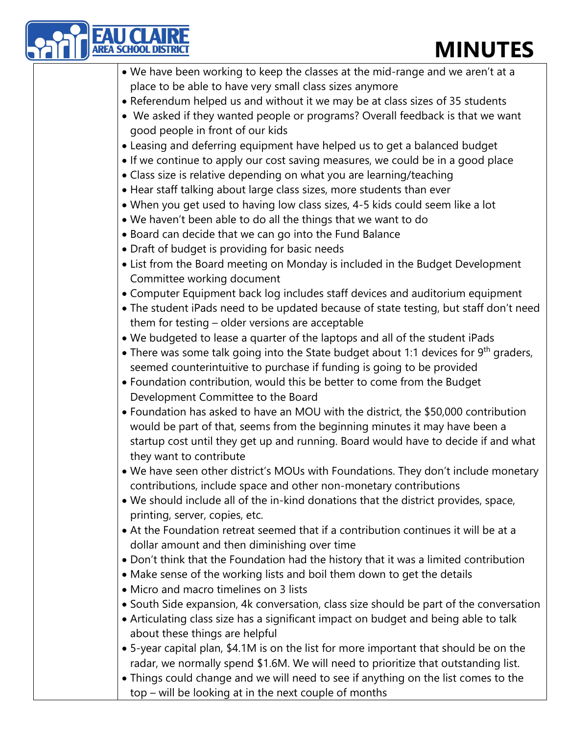## **MINUTES**

| <b>MINUTES</b>                                                                         |
|----------------------------------------------------------------------------------------|
| . We have been working to keep the classes at the mid-range and we aren't at a         |
| place to be able to have very small class sizes anymore                                |
| • Referendum helped us and without it we may be at class sizes of 35 students          |
| • We asked if they wanted people or programs? Overall feedback is that we want         |
| good people in front of our kids                                                       |
| • Leasing and deferring equipment have helped us to get a balanced budget              |
| • If we continue to apply our cost saving measures, we could be in a good place        |
| • Class size is relative depending on what you are learning/teaching                   |
| • Hear staff talking about large class sizes, more students than ever                  |
| • When you get used to having low class sizes, 4-5 kids could seem like a lot          |
| . We haven't been able to do all the things that we want to do                         |
| • Board can decide that we can go into the Fund Balance                                |
| • Draft of budget is providing for basic needs                                         |
| • List from the Board meeting on Monday is included in the Budget Development          |
| Committee working document                                                             |
| • Computer Equipment back log includes staff devices and auditorium equipment          |
| • The student iPads need to be updated because of state testing, but staff don't need  |
| them for testing - older versions are acceptable                                       |
| . We budgeted to lease a quarter of the laptops and all of the student iPads           |
| • There was some talk going into the State budget about 1:1 devices for $9th$ graders, |
| seemed counterintuitive to purchase if funding is going to be provided                 |
| • Foundation contribution, would this be better to come from the Budget                |
| Development Committee to the Board                                                     |
| • Foundation has asked to have an MOU with the district, the \$50,000 contribution     |
| would be part of that, seems from the beginning minutes it may have been a             |
| startup cost until they get up and running. Board would have to decide if and what     |
| they want to contribute                                                                |
| . We have seen other district's MOUs with Foundations. They don't include monetary     |
| contributions, include space and other non-monetary contributions                      |
| . We should include all of the in-kind donations that the district provides, space,    |
| printing, server, copies, etc.                                                         |
| • At the Foundation retreat seemed that if a contribution continues it will be at a    |
| dollar amount and then diminishing over time                                           |
| • Don't think that the Foundation had the history that it was a limited contribution   |
| • Make sense of the working lists and boil them down to get the details                |
| • Micro and macro timelines on 3 lists                                                 |
| • South Side expansion, 4k conversation, class size should be part of the conversation |
| • Articulating class size has a significant impact on budget and being able to talk    |
| about these things are helpful                                                         |
| • 5-year capital plan, \$4.1M is on the list for more important that should be on the  |
| radar, we normally spend \$1.6M. We will need to prioritize that outstanding list.     |
| • Things could change and we will need to see if anything on the list comes to the     |
| top - will be looking at in the next couple of months                                  |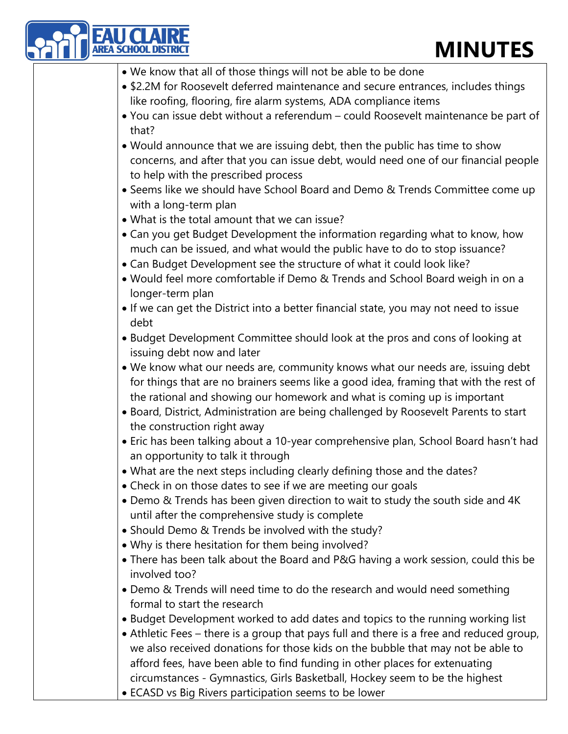## **MINUTES**

| <b>MINUTES</b>                                                                                                                                                                                                                                                                                                                                |
|-----------------------------------------------------------------------------------------------------------------------------------------------------------------------------------------------------------------------------------------------------------------------------------------------------------------------------------------------|
| • We know that all of those things will not be able to be done                                                                                                                                                                                                                                                                                |
| • \$2.2M for Roosevelt deferred maintenance and secure entrances, includes things<br>like roofing, flooring, fire alarm systems, ADA compliance items                                                                                                                                                                                         |
| • You can issue debt without a referendum - could Roosevelt maintenance be part of<br>that?                                                                                                                                                                                                                                                   |
| • Would announce that we are issuing debt, then the public has time to show<br>concerns, and after that you can issue debt, would need one of our financial people<br>to help with the prescribed process                                                                                                                                     |
| • Seems like we should have School Board and Demo & Trends Committee come up<br>with a long-term plan                                                                                                                                                                                                                                         |
| • What is the total amount that we can issue?                                                                                                                                                                                                                                                                                                 |
| • Can you get Budget Development the information regarding what to know, how<br>much can be issued, and what would the public have to do to stop issuance?<br>• Can Budget Development see the structure of what it could look like?                                                                                                          |
| . Would feel more comfortable if Demo & Trends and School Board weigh in on a<br>longer-term plan                                                                                                                                                                                                                                             |
| • If we can get the District into a better financial state, you may not need to issue<br>debt                                                                                                                                                                                                                                                 |
| • Budget Development Committee should look at the pros and cons of looking at<br>issuing debt now and later                                                                                                                                                                                                                                   |
| . We know what our needs are, community knows what our needs are, issuing debt<br>for things that are no brainers seems like a good idea, framing that with the rest of<br>the rational and showing our homework and what is coming up is important<br>• Board, District, Administration are being challenged by Roosevelt Parents to start   |
| the construction right away<br>• Eric has been talking about a 10-year comprehensive plan, School Board hasn't had                                                                                                                                                                                                                            |
| an opportunity to talk it through<br>• What are the next steps including clearly defining those and the dates?                                                                                                                                                                                                                                |
| • Check in on those dates to see if we are meeting our goals<br>• Demo & Trends has been given direction to wait to study the south side and 4K                                                                                                                                                                                               |
| until after the comprehensive study is complete<br>• Should Demo & Trends be involved with the study?<br>. Why is there hesitation for them being involved?                                                                                                                                                                                   |
| • There has been talk about the Board and P&G having a work session, could this be<br>involved too?                                                                                                                                                                                                                                           |
| • Demo & Trends will need time to do the research and would need something<br>formal to start the research                                                                                                                                                                                                                                    |
| • Budget Development worked to add dates and topics to the running working list<br>• Athletic Fees – there is a group that pays full and there is a free and reduced group,<br>we also received donations for those kids on the bubble that may not be able to<br>afford fees, have been able to find funding in other places for extenuating |
| circumstances - Gymnastics, Girls Basketball, Hockey seem to be the highest<br>• ECASD vs Big Rivers participation seems to be lower                                                                                                                                                                                                          |